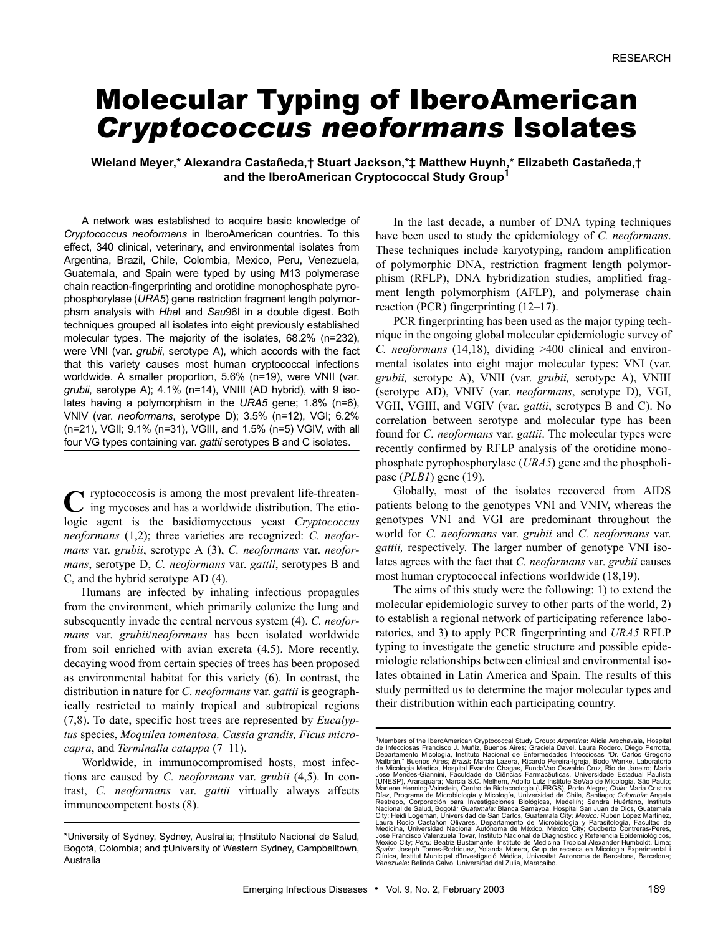# Molecular Typing of IberoAmerican *Cryptococcus neoformans* Isolates

**Wieland Meyer,\* Alexandra Castañeda,† Stuart Jackson,\*‡ Matthew Huynh,\* Elizabeth Castañeda,† and the IberoAmerican Cryptococcal Study Group1**

A network was established to acquire basic knowledge of *Cryptococcus neoformans* in IberoAmerican countries. To this effect, 340 clinical, veterinary, and environmental isolates from Argentina, Brazil, Chile, Colombia, Mexico, Peru, Venezuela, Guatemala, and Spain were typed by using M13 polymerase chain reaction-fingerprinting and orotidine monophosphate pyrophosphorylase (*URA5*) gene restriction fragment length polymorphsm analysis with *Hha*I and *Sau*96I in a double digest. Both techniques grouped all isolates into eight previously established molecular types. The majority of the isolates, 68.2% (n=232), were VNI (var. *grubii*, serotype A), which accords with the fact that this variety causes most human cryptococcal infections worldwide. A smaller proportion, 5.6% (n=19), were VNII (var. *grubii*, serotype A); 4.1% (n=14), VNIII (AD hybrid), with 9 isolates having a polymorphism in the *URA5* gene; 1.8% (n=6), VNIV (var. *neoformans*, serotype D); 3.5% (n=12), VGI; 6.2% (n=21), VGII; 9.1% (n=31), VGIII, and 1.5% (n=5) VGIV, with all four VG types containing var. *gattii* serotypes B and C isolates.

ryptococcosis is among the most prevalent life-threaten-**C**ing mycoses and has a worldwide distribution. The etiologic agent is the basidiomycetous yeast *Cryptococcus neoformans* (1,2); three varieties are recognized: *C. neoformans* var. *grubii*, serotype A (3), *C. neoformans* var. *neoformans*, serotype D, *C. neoformans* var. *gattii*, serotypes B and C, and the hybrid serotype AD (4).

Humans are infected by inhaling infectious propagules from the environment, which primarily colonize the lung and subsequently invade the central nervous system (4). *C. neoformans* var. *grubii*/*neoformans* has been isolated worldwide from soil enriched with avian excreta (4,5). More recently, decaying wood from certain species of trees has been proposed as environmental habitat for this variety (6). In contrast, the distribution in nature for *C*. *neoformans* var. *gattii* is geographically restricted to mainly tropical and subtropical regions (7,8). To date, specific host trees are represented by *Eucalyptus* species, *Moquilea tomentosa, Cassia grandis, Ficus microcapra*, and *Terminalia catappa* (7–11).

Worldwide, in immunocompromised hosts, most infections are caused by *C. neoformans* var. *grubii* (4,5). In contrast, *C. neoformans* var. *gattii* virtually always affects immunocompetent hosts (8).

In the last decade, a number of DNA typing techniques have been used to study the epidemiology of *C. neoformans*. These techniques include karyotyping, random amplification of polymorphic DNA, restriction fragment length polymorphism (RFLP), DNA hybridization studies, amplified fragment length polymorphism (AFLP), and polymerase chain reaction (PCR) fingerprinting (12–17).

PCR fingerprinting has been used as the major typing technique in the ongoing global molecular epidemiologic survey of *C. neoformans* (14,18), dividing >400 clinical and environmental isolates into eight major molecular types: VNI (var. *grubii,* serotype A), VNII (var. *grubii,* serotype A), VNIII (serotype AD), VNIV (var. *neoformans*, serotype D), VGI, VGII, VGIII, and VGIV (var. *gattii*, serotypes B and C). No correlation between serotype and molecular type has been found for *C. neoformans* var. *gattii*. The molecular types were recently confirmed by RFLP analysis of the orotidine monophosphate pyrophosphorylase (*URA5*) gene and the phospholipase (*PLB1*) gene (19).

Globally, most of the isolates recovered from AIDS patients belong to the genotypes VNI and VNIV, whereas the genotypes VNI and VGI are predominant throughout the world for *C. neoformans* var. *grubii* and *C. neoformans* var. *gattii,* respectively. The larger number of genotype VNI isolates agrees with the fact that *C. neoformans* var. *grubii* causes most human cryptococcal infections worldwide (18,19).

The aims of this study were the following: 1) to extend the molecular epidemiologic survey to other parts of the world, 2) to establish a regional network of participating reference laboratories, and 3) to apply PCR fingerprinting and *URA5* RFLP typing to investigate the genetic structure and possible epidemiologic relationships between clinical and environmental isolates obtained in Latin America and Spain. The results of this study permitted us to determine the major molecular types and their distribution within each participating country.

<sup>\*</sup>University of Sydney, Sydney, Australia; †Instituto Nacional de Salud, Bogotá, Colombia; and ‡University of Western Sydney, Campbelltown, Australia

<sup>&</sup>lt;sup>1</sup>Members of the IberoAmerican Cryptococcal Study Group: *Argentina:* Alicia Arechavala, Hospital<br>de Infecciosas Francisco J. Muñiz, Buenos Aires; Graciela Davel, Laura Rodero, Diego Perrotta,<br>Departamento Micologia, Inst José Francisco Valenzuela Tovar, Instituto Nacional de Diagnóstico y Referencia Epidemiológicos<br>Mexico City; Peru: Beatriz Bustamante, Instituto de Medicina Tropical Alexander Humboldt, Lima *Spain:* Joseph Torres-Rodriquez, Yolanda Morera, Grup de recerca en Micologia Experimental i<br>Clínica, Institut Municipal d'Investigació Médica, Univestiat Autonoma de Barcelona, Barcelona;<br>Venezuela: Belinda Calvo, Univer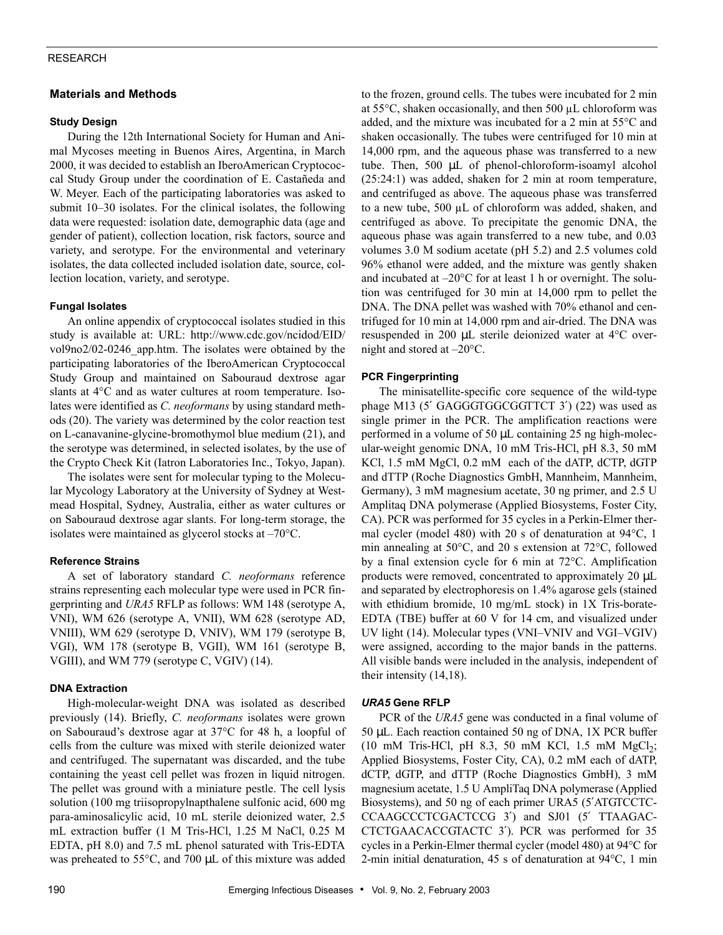# RESEARCH

# **Materials and Methods**

## **Study Design**

During the 12th International Society for Human and Animal Mycoses meeting in Buenos Aires, Argentina, in March 2000, it was decided to establish an IberoAmerican Cryptococcal Study Group under the coordination of E. Castañeda and W. Meyer. Each of the participating laboratories was asked to submit 10–30 isolates. For the clinical isolates, the following data were requested: isolation date, demographic data (age and gender of patient), collection location, risk factors, source and variety, and serotype. For the environmental and veterinary isolates, the data collected included isolation date, source, collection location, variety, and serotype.

## **Fungal Isolates**

An online appendix of cryptococcal isolates studied in this study is available at: URL: http://www.cdc.gov/ncidod/EID/ vol9no2/02-0246\_app.htm. The isolates were obtained by the participating laboratories of the IberoAmerican Cryptococcal Study Group and maintained on Sabouraud dextrose agar slants at 4°C and as water cultures at room temperature. Isolates were identified as *C. neoformans* by using standard methods (20). The variety was determined by the color reaction test on L-canavanine-glycine-bromothymol blue medium (21), and the serotype was determined, in selected isolates, by the use of the Crypto Check Kit (Iatron Laboratories Inc., Tokyo, Japan).

The isolates were sent for molecular typing to the Molecular Mycology Laboratory at the University of Sydney at Westmead Hospital, Sydney, Australia, either as water cultures or on Sabouraud dextrose agar slants. For long-term storage, the isolates were maintained as glycerol stocks at –70°C.

## **Reference Strains**

A set of laboratory standard *C. neoformans* reference strains representing each molecular type were used in PCR fingerprinting and *URA5* RFLP as follows: WM 148 (serotype A, VNI), WM 626 (serotype A, VNII), WM 628 (serotype AD, VNIII), WM 629 (serotype D, VNIV), WM 179 (serotype B, VGI), WM 178 (serotype B, VGII), WM 161 (serotype B, VGIII), and WM 779 (serotype C, VGIV) (14).

# **DNA Extraction**

High-molecular-weight DNA was isolated as described previously (14). Briefly, *C. neoformans* isolates were grown on Sabouraud's dextrose agar at 37°C for 48 h, a loopful of cells from the culture was mixed with sterile deionized water and centrifuged. The supernatant was discarded, and the tube containing the yeast cell pellet was frozen in liquid nitrogen. The pellet was ground with a miniature pestle. The cell lysis solution (100 mg triisopropylnapthalene sulfonic acid, 600 mg para-aminosalicylic acid, 10 mL sterile deionized water, 2.5 mL extraction buffer (1 M Tris-HCl, 1.25 M NaCl, 0.25 M EDTA, pH 8.0) and 7.5 mL phenol saturated with Tris-EDTA was preheated to 55°C, and 700 µL of this mixture was added

to the frozen, ground cells. The tubes were incubated for 2 min at 55°C, shaken occasionally, and then 500 µL chloroform was added, and the mixture was incubated for a 2 min at 55°C and shaken occasionally. The tubes were centrifuged for 10 min at 14,000 rpm, and the aqueous phase was transferred to a new tube. Then, 500 µL of phenol-chloroform-isoamyl alcohol (25:24:1) was added, shaken for 2 min at room temperature, and centrifuged as above. The aqueous phase was transferred to a new tube, 500 µL of chloroform was added, shaken, and centrifuged as above. To precipitate the genomic DNA, the aqueous phase was again transferred to a new tube, and 0.03 volumes 3.0 M sodium acetate (pH 5.2) and 2.5 volumes cold 96% ethanol were added, and the mixture was gently shaken and incubated at –20°C for at least 1 h or overnight. The solution was centrifuged for 30 min at 14,000 rpm to pellet the DNA. The DNA pellet was washed with 70% ethanol and centrifuged for 10 min at 14,000 rpm and air-dried. The DNA was resuspended in 200 µL sterile deionized water at 4°C overnight and stored at –20°C.

# **PCR Fingerprinting**

The minisatellite-specific core sequence of the wild-type phage M13 (5' GAGGGTGGCGGTTCT 3') (22) was used as single primer in the PCR. The amplification reactions were performed in a volume of 50  $\mu$ L containing 25 ng high-molecular-weight genomic DNA, 10 mM Tris-HCl, pH 8.3, 50 mM KCl, 1.5 mM MgCl, 0.2 mM each of the dATP, dCTP, dGTP and dTTP (Roche Diagnostics GmbH, Mannheim, Mannheim, Germany), 3 mM magnesium acetate, 30 ng primer, and 2.5 U Amplitaq DNA polymerase (Applied Biosystems, Foster City, CA). PCR was performed for 35 cycles in a Perkin-Elmer thermal cycler (model 480) with 20 s of denaturation at 94°C, 1 min annealing at 50°C, and 20 s extension at 72°C, followed by a final extension cycle for 6 min at 72°C. Amplification products were removed, concentrated to approximately 20 µL and separated by electrophoresis on 1.4% agarose gels (stained with ethidium bromide, 10 mg/mL stock) in 1X Tris-borate-EDTA (TBE) buffer at 60 V for 14 cm, and visualized under UV light (14). Molecular types (VNI–VNIV and VGI–VGIV) were assigned, according to the major bands in the patterns. All visible bands were included in the analysis, independent of their intensity (14,18).

#### *URA5* **Gene RFLP**

PCR of the *URA5* gene was conducted in a final volume of 50 µL. Each reaction contained 50 ng of DNA, 1X PCR buffer (10 mM Tris-HCl, pH 8.3, 50 mM KCl, 1.5 mM  $MgCl<sub>2</sub>$ ; Applied Biosystems, Foster City, CA), 0.2 mM each of dATP, dCTP, dGTP, and dTTP (Roche Diagnostics GmbH), 3 mM magnesium acetate, 1.5 U AmpliTaq DNA polymerase (Applied Biosystems), and 50 ng of each primer URA5 (5′ATGTCCTC-CCAAGCCCTCGACTCCG 3′) and SJ01 (5′ TTAAGAC-CTCTGAACACCGTACTC 3′). PCR was performed for 35 cycles in a Perkin-Elmer thermal cycler (model 480) at 94°C for 2-min initial denaturation, 45 s of denaturation at 94°C, 1 min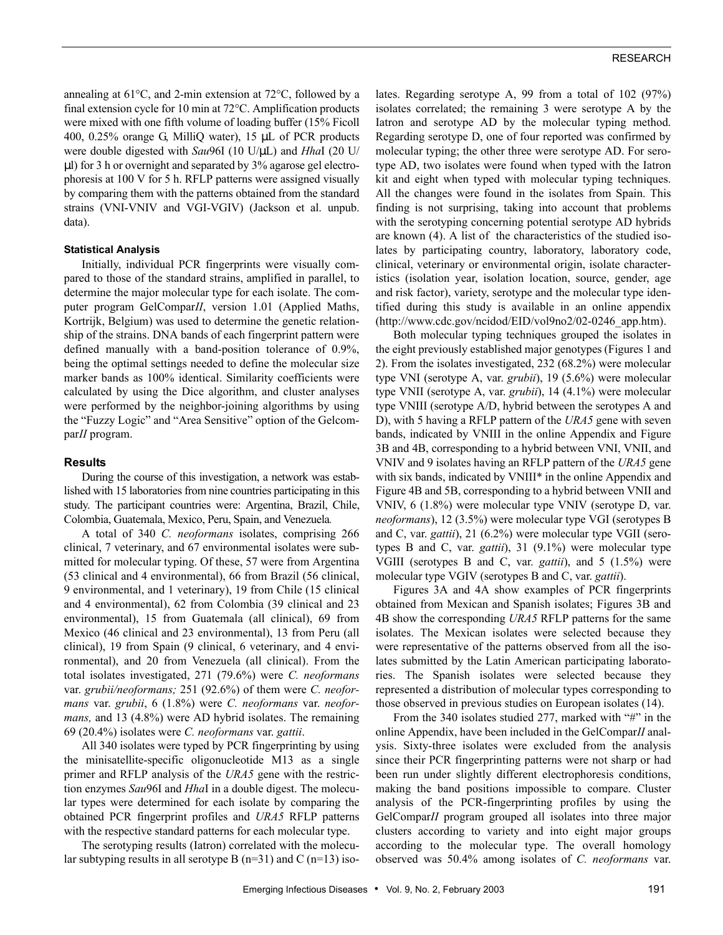annealing at 61°C, and 2-min extension at 72°C, followed by a final extension cycle for 10 min at 72°C. Amplification products were mixed with one fifth volume of loading buffer (15% Ficoll 400, 0.25% orange G, MilliQ water), 15 µL of PCR products were double digested with *Sau*96I (10 U/µL) and *Hha*I (20 U/  $\mu$ l) for 3 h or overnight and separated by 3% agarose gel electrophoresis at 100 V for 5 h. RFLP patterns were assigned visually by comparing them with the patterns obtained from the standard strains (VNI-VNIV and VGI-VGIV) (Jackson et al. unpub. data).

#### **Statistical Analysis**

Initially, individual PCR fingerprints were visually compared to those of the standard strains, amplified in parallel, to determine the major molecular type for each isolate. The computer program GelCompar*II*, version 1.01 (Applied Maths, Kortrijk, Belgium) was used to determine the genetic relationship of the strains. DNA bands of each fingerprint pattern were defined manually with a band-position tolerance of 0.9%, being the optimal settings needed to define the molecular size marker bands as 100% identical. Similarity coefficients were calculated by using the Dice algorithm, and cluster analyses were performed by the neighbor-joining algorithms by using the "Fuzzy Logic" and "Area Sensitive" option of the Gelcompar*II* program.

#### **Results**

During the course of this investigation, a network was established with 15 laboratories from nine countries participating in this study. The participant countries were: Argentina, Brazil, Chile, Colombia, Guatemala, Mexico, Peru, Spain, and Venezuela*.*

A total of 340 *C. neoformans* isolates, comprising 266 clinical, 7 veterinary, and 67 environmental isolates were submitted for molecular typing. Of these, 57 were from Argentina (53 clinical and 4 environmental), 66 from Brazil (56 clinical, 9 environmental, and 1 veterinary), 19 from Chile (15 clinical and 4 environmental), 62 from Colombia (39 clinical and 23 environmental), 15 from Guatemala (all clinical), 69 from Mexico (46 clinical and 23 environmental), 13 from Peru (all clinical), 19 from Spain (9 clinical, 6 veterinary, and 4 environmental), and 20 from Venezuela (all clinical). From the total isolates investigated, 271 (79.6%) were *C. neoformans* var. *grubii/neoformans;* 251 (92.6%) of them were *C. neoformans* var. *grubii*, 6 (1.8%) were *C. neoformans* var. *neoformans,* and 13 (4.8%) were AD hybrid isolates. The remaining 69 (20.4%) isolates were *C. neoformans* var. *gattii*.

All 340 isolates were typed by PCR fingerprinting by using the minisatellite-specific oligonucleotide M13 as a single primer and RFLP analysis of the *URA5* gene with the restriction enzymes *Sau*96I and *Hha*I in a double digest. The molecular types were determined for each isolate by comparing the obtained PCR fingerprint profiles and *URA5* RFLP patterns with the respective standard patterns for each molecular type.

The serotyping results (Iatron) correlated with the molecular subtyping results in all serotype B  $(n=31)$  and C  $(n=13)$  isolates. Regarding serotype A, 99 from a total of 102 (97%) isolates correlated; the remaining 3 were serotype A by the Iatron and serotype AD by the molecular typing method. Regarding serotype D, one of four reported was confirmed by molecular typing; the other three were serotype AD. For serotype AD, two isolates were found when typed with the Iatron kit and eight when typed with molecular typing techniques. All the changes were found in the isolates from Spain. This finding is not surprising, taking into account that problems with the serotyping concerning potential serotype AD hybrids are known (4). A list of the characteristics of the studied isolates by participating country, laboratory, laboratory code, clinical, veterinary or environmental origin, isolate characteristics (isolation year, isolation location, source, gender, age and risk factor), variety, serotype and the molecular type identified during this study is available in an online appendix (http://www.cdc.gov/ncidod/EID/vol9no2/02-0246\_app.htm).

Both molecular typing techniques grouped the isolates in the eight previously established major genotypes (Figures 1 and 2). From the isolates investigated, 232 (68.2%) were molecular type VNI (serotype A, var. *grubii*), 19 (5.6%) were molecular type VNII (serotype A, var. *grubii*), 14 (4.1%) were molecular type VNIII (serotype A/D, hybrid between the serotypes A and D), with 5 having a RFLP pattern of the *URA5* gene with seven bands, indicated by VNIII in the online Appendix and Figure 3B and 4B, corresponding to a hybrid between VNI, VNII, and VNIV and 9 isolates having an RFLP pattern of the *URA5* gene with six bands, indicated by VNIII<sup>\*</sup> in the online Appendix and Figure 4B and 5B, corresponding to a hybrid between VNII and VNIV, 6 (1.8%) were molecular type VNIV (serotype D, var. *neoformans*), 12 (3.5%) were molecular type VGI (serotypes B and C, var. *gattii*), 21 (6.2%) were molecular type VGII (serotypes B and C, var. *gattii*), 31 (9.1%) were molecular type VGIII (serotypes B and C, var. *gattii*), and 5 (1.5%) were molecular type VGIV (serotypes B and C, var. *gattii*).

Figures 3A and 4A show examples of PCR fingerprints obtained from Mexican and Spanish isolates; Figures 3B and 4B show the corresponding *URA5* RFLP patterns for the same isolates. The Mexican isolates were selected because they were representative of the patterns observed from all the isolates submitted by the Latin American participating laboratories. The Spanish isolates were selected because they represented a distribution of molecular types corresponding to those observed in previous studies on European isolates (14).

From the 340 isolates studied 277, marked with "#" in the online Appendix, have been included in the GelCompar*II* analysis. Sixty-three isolates were excluded from the analysis since their PCR fingerprinting patterns were not sharp or had been run under slightly different electrophoresis conditions, making the band positions impossible to compare. Cluster analysis of the PCR-fingerprinting profiles by using the GelCompar*II* program grouped all isolates into three major clusters according to variety and into eight major groups according to the molecular type. The overall homology observed was 50.4% among isolates of *C. neoformans* var.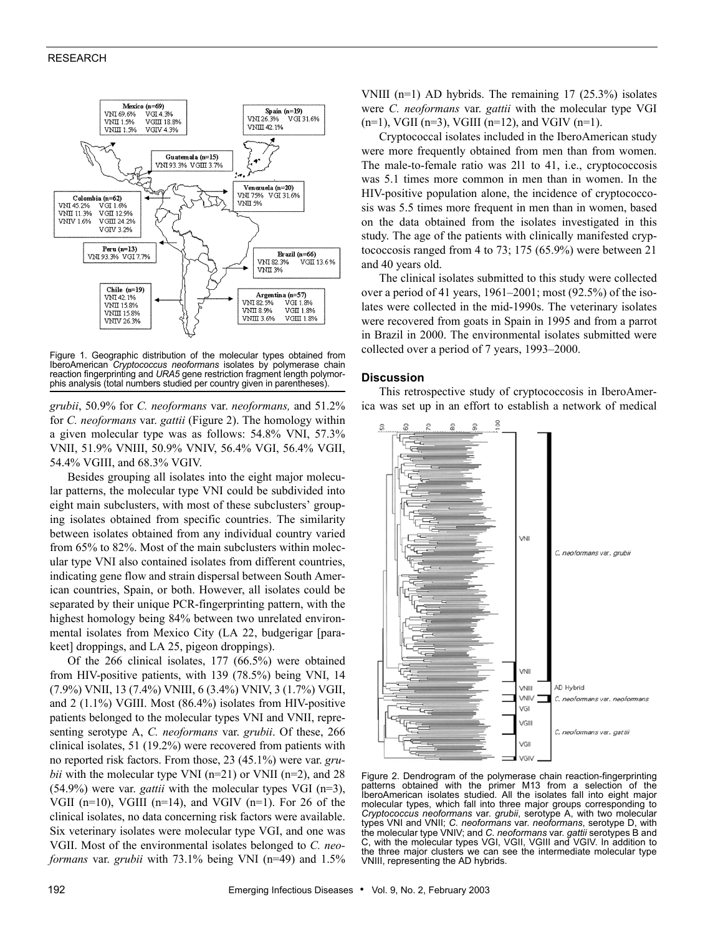## RESEARCH



Figure 1. Geographic distribution of the molecular types obtained from IberoAmerican *Cryptococcus neoformans* isolates by polymerase chain reaction fingerprinting and *URA5* gene restriction fragment length polymorphis analysis (total numbers studied per country given in parentheses).

*grubii*, 50.9% for *C. neoformans* var. *neoformans,* and 51.2% for *C. neoformans* var. *gattii* (Figure 2). The homology within a given molecular type was as follows: 54.8% VNI, 57.3% VNII, 51.9% VNIII, 50.9% VNIV, 56.4% VGI, 56.4% VGII, 54.4% VGIII, and 68.3% VGIV.

Besides grouping all isolates into the eight major molecular patterns, the molecular type VNI could be subdivided into eight main subclusters, with most of these subclusters' grouping isolates obtained from specific countries. The similarity between isolates obtained from any individual country varied from 65% to 82%. Most of the main subclusters within molecular type VNI also contained isolates from different countries, indicating gene flow and strain dispersal between South American countries, Spain, or both. However, all isolates could be separated by their unique PCR-fingerprinting pattern, with the highest homology being 84% between two unrelated environmental isolates from Mexico City (LA 22, budgerigar [parakeet] droppings, and LA 25, pigeon droppings).

Of the 266 clinical isolates, 177 (66.5%) were obtained from HIV-positive patients, with 139 (78.5%) being VNI, 14 (7.9%) VNII, 13 (7.4%) VNIII, 6 (3.4%) VNIV, 3 (1.7%) VGII, and 2 (1.1%) VGIII. Most (86.4%) isolates from HIV-positive patients belonged to the molecular types VNI and VNII, representing serotype A, *C. neoformans* var. *grubii*. Of these, 266 clinical isolates, 51 (19.2%) were recovered from patients with no reported risk factors. From those, 23 (45.1%) were var. *grubii* with the molecular type VNI ( $n=21$ ) or VNII ( $n=2$ ), and 28 (54.9%) were var. *gattii* with the molecular types VGI (n=3), VGII (n=10), VGIII (n=14), and VGIV (n=1). For 26 of the clinical isolates, no data concerning risk factors were available. Six veterinary isolates were molecular type VGI, and one was VGII. Most of the environmental isolates belonged to *C. neoformans* var. *grubii* with 73.1% being VNI (n=49) and 1.5%

VNIII (n=1) AD hybrids. The remaining 17 (25.3%) isolates were *C. neoformans* var. *gattii* with the molecular type VGI  $(n=1)$ , VGII  $(n=3)$ , VGIII  $(n=12)$ , and VGIV  $(n=1)$ .

Cryptococcal isolates included in the IberoAmerican study were more frequently obtained from men than from women. The male-to-female ratio was 2l1 to 41, i.e., cryptococcosis was 5.1 times more common in men than in women. In the HIV-positive population alone, the incidence of cryptococcosis was 5.5 times more frequent in men than in women, based on the data obtained from the isolates investigated in this study. The age of the patients with clinically manifested cryptococcosis ranged from 4 to 73; 175 (65.9%) were between 21 and 40 years old.

The clinical isolates submitted to this study were collected over a period of 41 years, 1961–2001; most (92.5%) of the isolates were collected in the mid-1990s. The veterinary isolates were recovered from goats in Spain in 1995 and from a parrot in Brazil in 2000. The environmental isolates submitted were collected over a period of 7 years, 1993–2000.

#### **Discussion**

This retrospective study of cryptococcosis in IberoAmerica was set up in an effort to establish a network of medical



Figure 2. Dendrogram of the polymerase chain reaction-fingerprinting patterns obtained with the primer M13 from a selection of the IberoAmerican isolates studied. All the isolates fall into eight major molecular types, which fall into three major groups corresponding to *Cryptococcus neoformans* var. *grubii*, serotype A, with two molecular types VNI and VNII; *C. neoformans* var. *neoformans*, serotype D, with the molecular type VNIV; and *C. neoformans* var. *gattii* serotypes B and C, with the molecular types VGI, VGII, VGIII and VGIV. In addition to the three major clusters we can see the intermediate molecular type VNIII, representing the AD hybrids.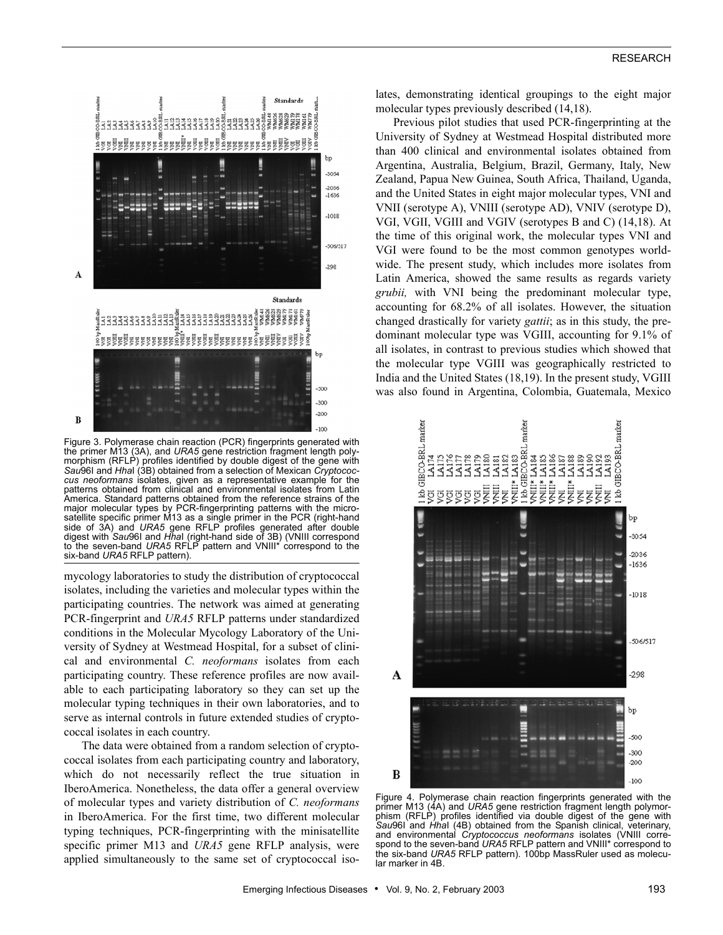

Figure 3. Polymerase chain reaction (PCR) fingerprints generated with the primer M13 (3A), and *URA5* gene restriction fragment length polymorphism (RFLP) profiles identified by double digest of the gene with *Sau*96I and *Hha*I (3B) obtained from a selection of Mexican *Cryptococcus neoformans* isolates, given as a representative example for the patterns obtained from clinical and environmental isolates from Latin America. Standard patterns obtained from the reference strains of the major molecular types by PCR-fingerprinting patterns with the microsatellite specific primer M13 as a single primer in the PCR (right-hand side of 3A) and URA5 gene RFLP profiles generated after double digest with *Sau*96I and *Hha*I (right-hand side of 3B) (VNIII correspond to the seven-band *URA5* RFLP pattern and VNIII\* correspond to the six-band *URA5* RFLP pattern).

mycology laboratories to study the distribution of cryptococcal isolates, including the varieties and molecular types within the participating countries. The network was aimed at generating PCR-fingerprint and *URA5* RFLP patterns under standardized conditions in the Molecular Mycology Laboratory of the University of Sydney at Westmead Hospital, for a subset of clinical and environmental *C. neoformans* isolates from each participating country. These reference profiles are now available to each participating laboratory so they can set up the molecular typing techniques in their own laboratories, and to serve as internal controls in future extended studies of cryptococcal isolates in each country.

The data were obtained from a random selection of cryptococcal isolates from each participating country and laboratory, which do not necessarily reflect the true situation in IberoAmerica. Nonetheless, the data offer a general overview of molecular types and variety distribution of *C. neoformans* in IberoAmerica. For the first time, two different molecular typing techniques, PCR-fingerprinting with the minisatellite specific primer M13 and *URA5* gene RFLP analysis, were applied simultaneously to the same set of cryptococcal isolates, demonstrating identical groupings to the eight major molecular types previously described (14,18).

Previous pilot studies that used PCR-fingerprinting at the University of Sydney at Westmead Hospital distributed more than 400 clinical and environmental isolates obtained from Argentina, Australia, Belgium, Brazil, Germany, Italy, New Zealand, Papua New Guinea, South Africa, Thailand, Uganda, and the United States in eight major molecular types, VNI and VNII (serotype A), VNIII (serotype AD), VNIV (serotype D), VGI, VGII, VGIII and VGIV (serotypes B and C) (14,18). At the time of this original work, the molecular types VNI and VGI were found to be the most common genotypes worldwide. The present study, which includes more isolates from Latin America, showed the same results as regards variety *grubii,* with VNI being the predominant molecular type, accounting for 68.2% of all isolates. However, the situation changed drastically for variety *gattii*; as in this study, the predominant molecular type was VGIII, accounting for 9.1% of all isolates, in contrast to previous studies which showed that the molecular type VGIII was geographically restricted to India and the United States (18,19). In the present study, VGIII was also found in Argentina, Colombia, Guatemala, Mexico



Figure 4. Polymerase chain reaction fingerprints generated with the primer M13 (4A) and *URA5* gene restriction fragment length polymor-phism (RFLP) profiles identified via double digest of the gene with *Sau*96I and *Hha*I (4B) obtained from the Spanish clinical, veterinary, and environmental *Cryptococcus neoformans* isolates (VNIII corre-spond to the seven-band *URA5* RFLP pattern and VNIII\* correspond to the six-band *URA5* RFLP pattern). 100bp MassRuler used as molecular marker in 4B.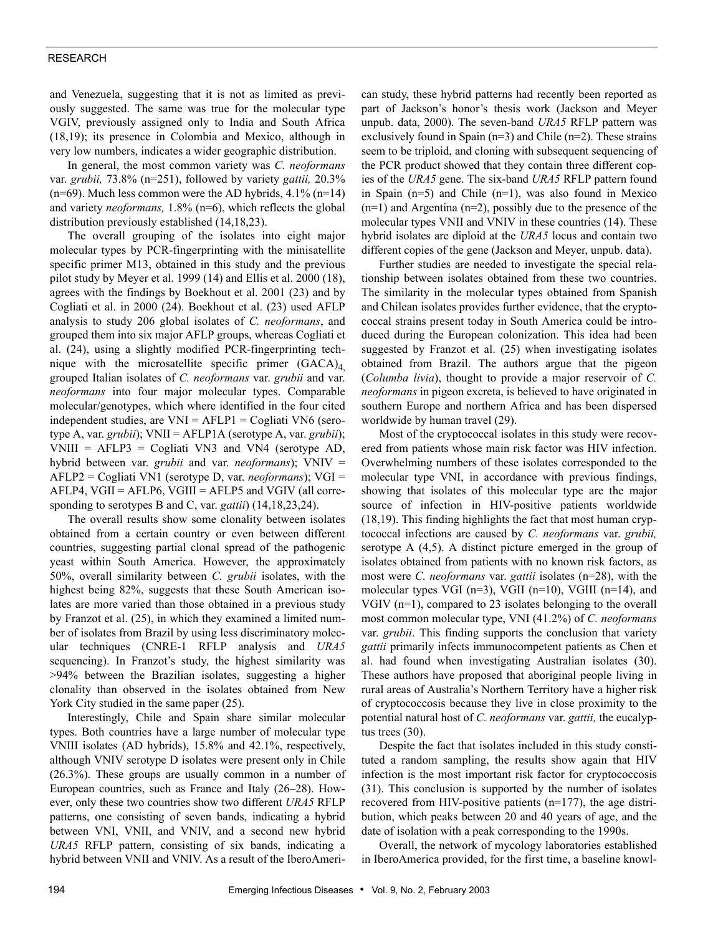## RESEARCH

and Venezuela, suggesting that it is not as limited as previously suggested. The same was true for the molecular type VGIV, previously assigned only to India and South Africa (18,19); its presence in Colombia and Mexico, although in very low numbers, indicates a wider geographic distribution.

In general, the most common variety was *C. neoformans* var. *grubii,* 73.8% (n=251), followed by variety *gattii,* 20.3% (n=69). Much less common were the AD hybrids, 4.1% (n=14) and variety *neoformans,* 1.8% (n=6), which reflects the global distribution previously established (14,18,23).

The overall grouping of the isolates into eight major molecular types by PCR-fingerprinting with the minisatellite specific primer M13, obtained in this study and the previous pilot study by Meyer et al. 1999 (14) and Ellis et al. 2000 (18), agrees with the findings by Boekhout et al. 2001 (23) and by Cogliati et al. in 2000 (24). Boekhout et al. (23) used AFLP analysis to study 206 global isolates of *C. neoformans*, and grouped them into six major AFLP groups, whereas Cogliati et al. (24), using a slightly modified PCR-fingerprinting technique with the microsatellite specific primer  $(GACA)_4$ grouped Italian isolates of *C. neoformans* var. *grubii* and var. *neoformans* into four major molecular types. Comparable molecular/genotypes, which where identified in the four cited independent studies, are VNI = AFLP1 = Cogliati VN6 (serotype A, var. *grubii*); VNII = AFLP1A (serotype A, var. *grubii*);  $VNIII = AFLP3 = Cogliati VN3$  and VN4 (serotype AD, hybrid between var. *grubii* and var. *neoformans*); VNIV = AFLP2 = Cogliati VN1 (serotype D, var. *neoformans*); VGI = AFLP4, VGII = AFLP6, VGIII = AFLP5 and VGIV (all corresponding to serotypes B and C, var. *gattii*) (14,18,23,24).

The overall results show some clonality between isolates obtained from a certain country or even between different countries, suggesting partial clonal spread of the pathogenic yeast within South America. However, the approximately 50%, overall similarity between *C. grubii* isolates, with the highest being 82%, suggests that these South American isolates are more varied than those obtained in a previous study by Franzot et al. (25), in which they examined a limited number of isolates from Brazil by using less discriminatory molecular techniques (CNRE-1 RFLP analysis and *URA5* sequencing). In Franzot's study, the highest similarity was >94% between the Brazilian isolates, suggesting a higher clonality than observed in the isolates obtained from New York City studied in the same paper (25).

Interestingly, Chile and Spain share similar molecular types. Both countries have a large number of molecular type VNIII isolates (AD hybrids), 15.8% and 42.1%, respectively, although VNIV serotype D isolates were present only in Chile (26.3%). These groups are usually common in a number of European countries, such as France and Italy (26–28). However, only these two countries show two different *URA5* RFLP patterns, one consisting of seven bands, indicating a hybrid between VNI, VNII, and VNIV, and a second new hybrid *URA5* RFLP pattern, consisting of six bands, indicating a hybrid between VNII and VNIV. As a result of the IberoAmerican study, these hybrid patterns had recently been reported as part of Jackson's honor's thesis work (Jackson and Meyer unpub. data, 2000). The seven-band *URA5* RFLP pattern was exclusively found in Spain (n=3) and Chile (n=2). These strains seem to be triploid, and cloning with subsequent sequencing of the PCR product showed that they contain three different copies of the *URA5* gene. The six-band *URA5* RFLP pattern found in Spain (n=5) and Chile (n=1), was also found in Mexico (n=1) and Argentina (n=2), possibly due to the presence of the molecular types VNII and VNIV in these countries (14). These hybrid isolates are diploid at the *URA5* locus and contain two different copies of the gene (Jackson and Meyer, unpub. data).

Further studies are needed to investigate the special relationship between isolates obtained from these two countries. The similarity in the molecular types obtained from Spanish and Chilean isolates provides further evidence, that the cryptococcal strains present today in South America could be introduced during the European colonization. This idea had been suggested by Franzot et al. (25) when investigating isolates obtained from Brazil. The authors argue that the pigeon (*Columba livia*), thought to provide a major reservoir of *C. neoformans* in pigeon excreta, is believed to have originated in southern Europe and northern Africa and has been dispersed worldwide by human travel (29).

Most of the cryptococcal isolates in this study were recovered from patients whose main risk factor was HIV infection. Overwhelming numbers of these isolates corresponded to the molecular type VNI, in accordance with previous findings, showing that isolates of this molecular type are the major source of infection in HIV-positive patients worldwide (18,19). This finding highlights the fact that most human cryptococcal infections are caused by *C. neoformans* var. *grubii,* serotype A (4,5). A distinct picture emerged in the group of isolates obtained from patients with no known risk factors, as most were *C. neoformans* var. *gattii* isolates (n=28), with the molecular types VGI (n=3), VGII (n=10), VGIII (n=14), and VGIV (n=1), compared to 23 isolates belonging to the overall most common molecular type, VNI (41.2%) of *C. neoformans* var. *grubii*. This finding supports the conclusion that variety *gattii* primarily infects immunocompetent patients as Chen et al. had found when investigating Australian isolates (30). These authors have proposed that aboriginal people living in rural areas of Australia's Northern Territory have a higher risk of cryptococcosis because they live in close proximity to the potential natural host of *C. neoformans* var. *gattii,* the eucalyptus trees (30).

Despite the fact that isolates included in this study constituted a random sampling, the results show again that HIV infection is the most important risk factor for cryptococcosis (31). This conclusion is supported by the number of isolates recovered from HIV-positive patients (n=177), the age distribution, which peaks between 20 and 40 years of age, and the date of isolation with a peak corresponding to the 1990s.

Overall, the network of mycology laboratories established in IberoAmerica provided, for the first time, a baseline knowl